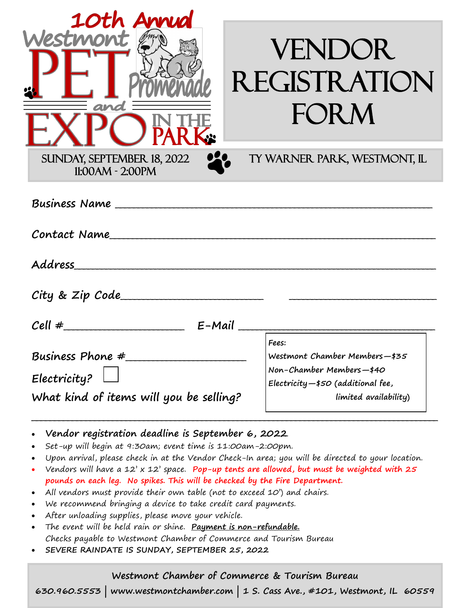| 10th Annual<br>Westmon<br>and                                                                                                                                                                                                                                                                                                                                                                                                                                         | <b>VENDOR</b><br><b>REGISTRATION</b><br><b>FORM</b>                                                                                                                                                     |
|-----------------------------------------------------------------------------------------------------------------------------------------------------------------------------------------------------------------------------------------------------------------------------------------------------------------------------------------------------------------------------------------------------------------------------------------------------------------------|---------------------------------------------------------------------------------------------------------------------------------------------------------------------------------------------------------|
| SUNDAY, SEPTEMBER 18, 2022<br>$11:00AM - 2:00PM$                                                                                                                                                                                                                                                                                                                                                                                                                      | TY WARNER PARK, WESTMONT, IL                                                                                                                                                                            |
|                                                                                                                                                                                                                                                                                                                                                                                                                                                                       |                                                                                                                                                                                                         |
| Address<br>$City &$ $Zip Code$                                                                                                                                                                                                                                                                                                                                                                                                                                        |                                                                                                                                                                                                         |
| Cell $\#$ E-Mail                                                                                                                                                                                                                                                                                                                                                                                                                                                      |                                                                                                                                                                                                         |
| Business Phone #<br>Electricity?<br>What kind of items will you be selling?                                                                                                                                                                                                                                                                                                                                                                                           | Fees:<br>Westmont Chamber Members-\$35<br>Non-Chamber Members-\$40<br>Electricity $-$ \$50 (additional fee,<br>limited availability)                                                                    |
| Vendor registration deadline is September 6, 2022<br>Set-up will begin at 9:30am; event time is 11:00am-2:00pm.<br>pounds on each leg. No spikes. This will be checked by the Fire Department.<br>All vendors must provide their own table (not to exceed 10') and chairs.<br>We recommend bringing a device to take credit card payments.<br>After unloading supplies, please move your vehicle.<br>The event will be held rain or shine. Payment is non-refundable. | Upon arrival, please check in at the Vendor Check-In area; you will be directed to your location.<br>Vendors will have a 12' $\times$ 12' space. Pop-up tents are allowed, but must be weighted with 25 |

- Checks payable to Westmont Chamber of Commerce and Tourism Bureau
- **SEVERE RAINDATE IS SUNDAY, SEPTEMBER 25, 2022**

#### **Westmont Chamber of Commerce & Tourism Bureau**

**630.960.5553 | www.westmontchamber.com | 1 S. Cass Ave., #101, Westmont, IL 60559**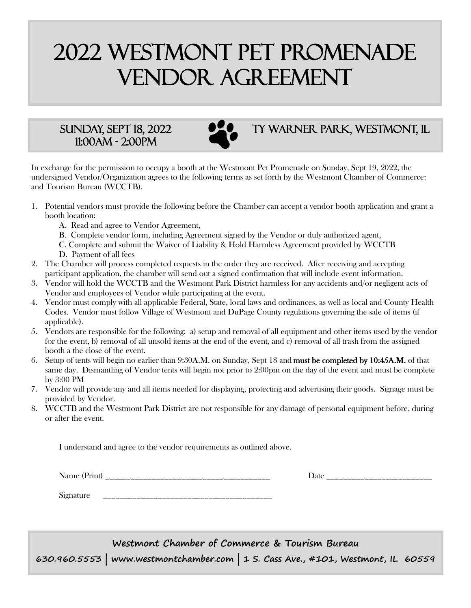# 2022 Westmont pet promenade vendor agreement

## 11:00am - 2:00pm



### SUNDAY, SEPT 18, 2022 **DEC** TY WARNER PARK, WESTMONT, IL

In exchange for the permission to occupy a booth at the Westmont Pet Promenade on Sunday, Sept 19, 2022, the undersigned Vendor/Organization agrees to the following terms as set forth by the Westmont Chamber of Commerce: and Tourism Bureau (WCCTB).

- 1. Potential vendors must provide the following before the Chamber can accept a vendor booth application and grant a booth location:
	- A. Read and agree to Vendor Agreement,
	- B. Complete vendor form, including Agreement signed by the Vendor or duly authorized agent,
	- C. Complete and submit the Waiver of Liability & Hold Harmless Agreement provided by WCCTB D. Payment of all fees
- 2. The Chamber will process completed requests in the order they are received. After receiving and accepting participant application, the chamber will send out a signed confirmation that will include event information.
- 3. Vendor will hold the WCCTB and the Westmont Park District harmless for any accidents and/or negligent acts of Vendor and employees of Vendor while participating at the event.
- 4. Vendor must comply with all applicable Federal, State, local laws and ordinances, as well as local and County Health Codes. Vendor must follow Village of Westmont and DuPage County regulations governing the sale of items (if applicable).
- 5. Vendors are responsible for the following: a) setup and removal of all equipment and other items used by the vendor for the event, b) removal of all unsold items at the end of the event, and c) removal of all trash from the assigned booth a the close of the event.
- 6. Setup of tents will begin no earlier than 9:30A.M. on Sunday, Sept 18 and must be completed by 10:45A.M. of that same day. Dismantling of Vendor tents will begin not prior to 2:00pm on the day of the event and must be complete by 3:00 PM
- 7. Vendor will provide any and all items needed for displaying, protecting and advertising their goods. Signage must be provided by Vendor.
- 8. WCCTB and the Westmont Park District are not responsible for any damage of personal equipment before, during or after the event.

I understand and agree to the vendor requirements as outlined above.

Name (Print) \_\_\_\_\_\_\_\_\_\_\_\_\_\_\_\_\_\_\_\_\_\_\_\_\_\_\_\_\_\_\_\_\_\_\_\_\_\_\_ Date \_\_\_\_\_\_\_\_\_\_\_\_\_\_\_\_\_\_\_\_\_\_\_\_\_

Signature

**Westmont Chamber of Commerce & Tourism Bureau 630.960.5553 | www.westmontchamber.com | 1 S. Cass Ave., #101, Westmont, IL 60559**